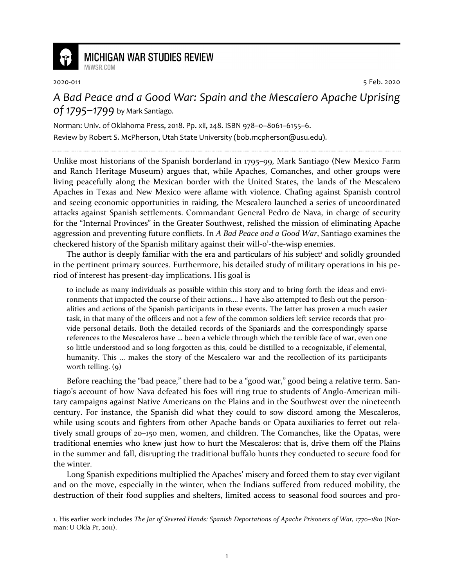

## **MICHIGAN WAR STUDIES REVIEW**

MiWSR COM

2020-011 5 Feb. 2020

*A Bad Peace and a Good War: Spain and the Mescalero Apache Uprising of 1795–1799* by Mark Santiago.

Norman: Univ. of Oklahoma Press, 2018. Pp. xii, 248. ISBN 978–0–8061–6155–6. Review by Robert S. McPherson, Utah State University (bob.mcpherson@usu.edu).

Unlike most historians of the Spanish borderland in 1795–99, Mark Santiago (New Mexico Farm and Ranch Heritage Museum) argues that, while Apaches, Comanches, and other groups were living peacefully along the Mexican border with the United States, the lands of the Mescalero Apaches in Texas and New Mexico were aflame with violence. Chafing against Spanish control and seeing economic opportunities in raiding, the Mescalero launched a series of uncoordinated attacks against Spanish settlements. Commandant General Pedro de Nava, in charge of security for the "Internal Provinces" in the Greater Southwest, relished the mission of eliminating Apache aggression and preventing future conflicts. In *A Bad Peace and a Good War*, Santiago examines the checkered history of the Spanish military against their will-o'-the-wisp enemies.

The author is deeply familiar with the era and particulars of his subject<sup>1</sup> and solidly grounded in the pertinent primary sources. Furthermore, his detailed study of military operations in his period of interest has present-day implications. His goal is

to include as many individuals as possible within this story and to bring forth the ideas and environments that impacted the course of their actions…. I have also attempted to flesh out the personalities and actions of the Spanish participants in these events. The latter has proven a much easier task, in that many of the officers and not a few of the common soldiers left service records that provide personal details. Both the detailed records of the Spaniards and the correspondingly sparse references to the Mescaleros have … been a vehicle through which the terrible face of war, even one so little understood and so long forgotten as this, could be distilled to a recognizable, if elemental, humanity. This … makes the story of the Mescalero war and the recollection of its participants worth telling. (9)

Before reaching the "bad peace," there had to be a "good war," good being a relative term. Santiago's account of how Nava defeated his foes will ring true to students of Anglo-American military campaigns against Native Americans on the Plains and in the Southwest over the nineteenth century. For instance, the Spanish did what they could to sow discord among the Mescaleros, while using scouts and fighters from other Apache bands or Opata auxiliaries to ferret out relatively small groups of 20–150 men, women, and children. The Comanches, like the Opatas, were traditional enemies who knew just how to hurt the Mescaleros: that is, drive them off the Plains in the summer and fall, disrupting the traditional buffalo hunts they conducted to secure food for the winter.

Long Spanish expeditions multiplied the Apaches' misery and forced them to stay ever vigilant and on the move, especially in the winter, when the Indians suffered from reduced mobility, the destruction of their food supplies and shelters, limited access to seasonal food sources and pro-

<sup>1.</sup> His earlier work includes *The Jar of Severed Hands: Spanish Deportations of Apache Prisoners of War, 1770–1810* (Norman: U Okla Pr, 2011).